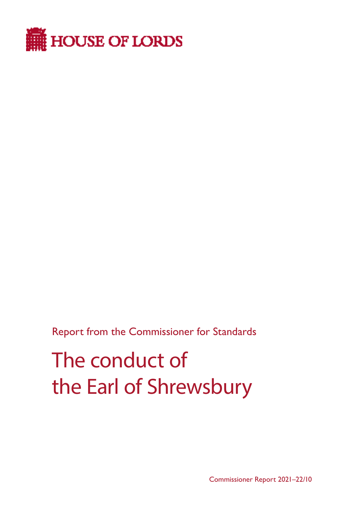

Report from the Commissioner for Standards

# The conduct of the Earl of Shrewsbury

Commissioner Report 2021–22/10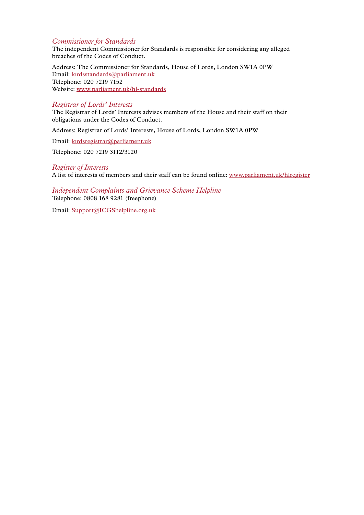#### *Commissioner for Standards*

The independent Commissioner for Standards is responsible for considering any alleged breaches of the Codes of Conduct.

Address: The Commissioner for Standards, House of Lords, London SW1A 0PW Email: lordsstandards@parliament.uk Telephone: 020 7219 7152 Website: www.parliament.uk/hl-standards

#### *Registrar of Lords' Interests*

The Registrar of Lords' Interests advises members of the House and their staff on their obligations under the Codes of Conduct.

Address: Registrar of Lords' Interests, House of Lords, London SW1A 0PW

Email: [lordsregistrar@parliament.uk](mailto:lordsregistrar%40parliament.uk?subject=)

Telephone: 020 7219 3112/3120

#### *Register of Interests*

A list of interests of members and their staff can be found online: www.parliament.uk/hlregister

*Independent Complaints and Grievance Scheme Helpline* Telephone: 0808 168 9281 (freephone)

Email: Support@ICGShelpline.org.uk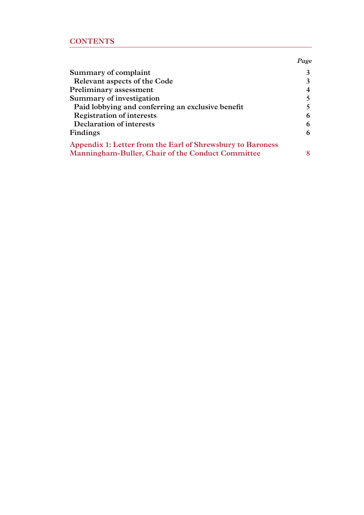### **CONTENTS**

| Summary of complaint                                       | 3      |
|------------------------------------------------------------|--------|
| Relevant aspects of the Code                               | 3      |
| Preliminary assessment                                     | 4      |
| Summary of investigation                                   | $\sim$ |
| Paid lobbying and conferring an exclusive benefit          | $\sim$ |
| <b>Registration of interests</b>                           | 6      |
| Declaration of interests                                   | 6      |
| Findings                                                   | 6      |
| Appendix 1: Letter from the Earl of Shrewsbury to Baroness |        |
| Manningham-Buller, Chair of the Conduct Committee          | 8      |
|                                                            |        |

*Page*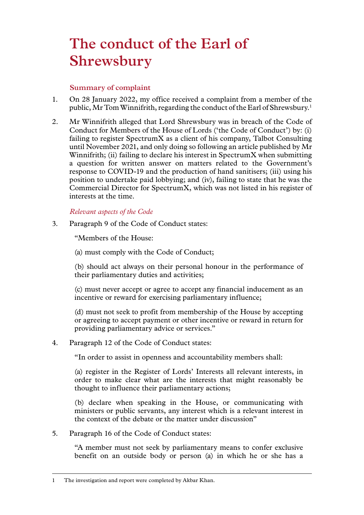# <span id="page-4-0"></span>**The conduct of the Earl of Shrewsbury**

#### **Summary of complaint**

- 1. On 28 January 2022, my office received a complaint from a member of the public, Mr Tom Winnifrith, regarding the conduct of the Earl of Shrewsbury.<sup>1</sup>
- 2. Mr Winnifrith alleged that Lord Shrewsbury was in breach of the Code of Conduct for Members of the House of Lords ('the Code of Conduct') by: (i) failing to register SpectrumX as a client of his company, Talbot Consulting until November 2021, and only doing so following an article published by Mr Winnifrith; (ii) failing to declare his interest in SpectrumX when submitting a question for written answer on matters related to the Government's response to COVID-19 and the production of hand sanitisers; (iii) using his position to undertake paid lobbying; and (iv), failing to state that he was the Commercial Director for SpectrumX, which was not listed in his register of interests at the time.

#### *Relevant aspects of the Code*

3. Paragraph 9 of the Code of Conduct states:

"Members of the House:

(a) must comply with the Code of Conduct;

(b) should act always on their personal honour in the performance of their parliamentary duties and activities;

(c) must never accept or agree to accept any financial inducement as an incentive or reward for exercising parliamentary influence;

(d) must not seek to profit from membership of the House by accepting or agreeing to accept payment or other incentive or reward in return for providing parliamentary advice or services."

4. Paragraph 12 of the Code of Conduct states:

"In order to assist in openness and accountability members shall:

(a) register in the Register of Lords' Interests all relevant interests, in order to make clear what are the interests that might reasonably be thought to influence their parliamentary actions;

(b) declare when speaking in the House, or communicating with ministers or public servants, any interest which is a relevant interest in the context of the debate or the matter under discussion"

5. Paragraph 16 of the Code of Conduct states:

"A member must not seek by parliamentary means to confer exclusive benefit on an outside body or person (a) in which he or she has a

<sup>1</sup> The investigation and report were completed by Akbar Khan.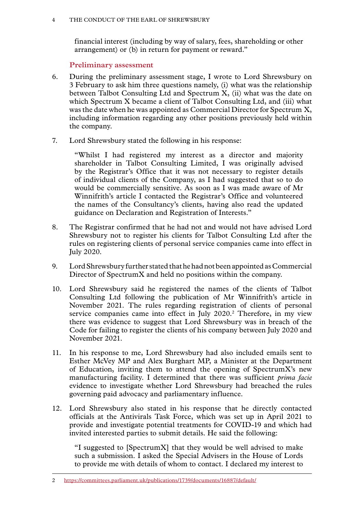<span id="page-5-0"></span>financial interest (including by way of salary, fees, shareholding or other arrangement) or (b) in return for payment or reward."

#### **Preliminary assessment**

- 6. During the preliminary assessment stage, I wrote to Lord Shrewsbury on 3 February to ask him three questions namely, (i) what was the relationship between Talbot Consulting Ltd and Spectrum X, (ii) what was the date on which Spectrum X became a client of Talbot Consulting Ltd, and (iii) what was the date when he was appointed as Commercial Director for Spectrum X, including information regarding any other positions previously held within the company.
- 7. Lord Shrewsbury stated the following in his response:

"Whilst I had registered my interest as a director and majority shareholder in Talbot Consulting Limited, I was originally advised by the Registrar's Office that it was not necessary to register details of individual clients of the Company, as I had suggested that so to do would be commercially sensitive. As soon as I was made aware of Mr Winnifrith's article I contacted the Registrar's Office and volunteered the names of the Consultancy's clients, having also read the updated guidance on Declaration and Registration of Interests."

- 8. The Registrar confirmed that he had not and would not have advised Lord Shrewsbury not to register his clients for Talbot Consulting Ltd after the rules on registering clients of personal service companies came into effect in July 2020.
- 9. Lord Shrewsbury further stated that he had not been appointed as Commercial Director of SpectrumX and held no positions within the company.
- 10. Lord Shrewsbury said he registered the names of the clients of Talbot Consulting Ltd following the publication of Mr Winnifrith's article in November 2021. The rules regarding registration of clients of personal service companies came into effect in July 2020.2 Therefore, in my view there was evidence to suggest that Lord Shrewsbury was in breach of the Code for failing to register the clients of his company between July 2020 and November 2021.
- 11. In his response to me, Lord Shrewsbury had also included emails sent to Esther McVey MP and Alex Burghart MP, a Minister at the Department of Education, inviting them to attend the opening of SpectrumX's new manufacturing facility. I determined that there was sufficient *prima facie*  evidence to investigate whether Lord Shrewsbury had breached the rules governing paid advocacy and parliamentary influence.
- 12. Lord Shrewsbury also stated in his response that he directly contacted officials at the Antivirals Task Force, which was set up in April 2021 to provide and investigate potential treatments for COVID-19 and which had invited interested parties to submit details. He said the following:

"I suggested to [SpectrumX] that they would be well advised to make such a submission. I asked the Special Advisers in the House of Lords to provide me with details of whom to contact. I declared my interest to

<sup>2</sup> <https://committees.parliament.uk/publications/1739/documents/16887/default/>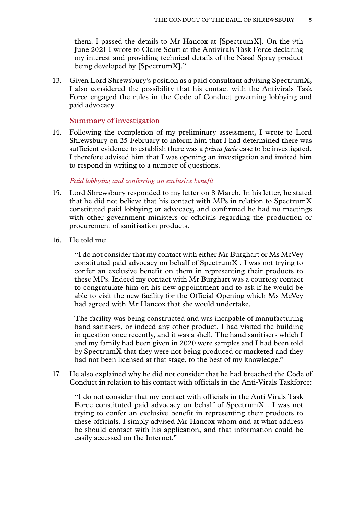<span id="page-6-0"></span>them. I passed the details to Mr Hancox at [SpectrumX]. On the 9th June 2021 I wrote to Claire Scutt at the Antivirals Task Force declaring my interest and providing technical details of the Nasal Spray product being developed by [SpectrumX]."

13. Given Lord Shrewsbury's position as a paid consultant advising SpectrumX, I also considered the possibility that his contact with the Antivirals Task Force engaged the rules in the Code of Conduct governing lobbying and paid advocacy.

#### **Summary of investigation**

14. Following the completion of my preliminary assessment, I wrote to Lord Shrewsbury on 25 February to inform him that I had determined there was sufficient evidence to establish there was a *prima facie* case to be investigated. I therefore advised him that I was opening an investigation and invited him to respond in writing to a number of questions.

#### *Paid lobbying and conferring an exclusive benefit*

- 15. Lord Shrewsbury responded to my letter on 8 March. In his letter, he stated that he did not believe that his contact with MPs in relation to SpectrumX constituted paid lobbying or advocacy, and confirmed he had no meetings with other government ministers or officials regarding the production or procurement of sanitisation products.
- 16. He told me:

"I do not consider that my contact with either Mr Burghart or Ms McVey constituted paid advocacy on behalf of SpectrumX . I was not trying to confer an exclusive benefit on them in representing their products to these MPs. Indeed my contact with Mr Burghart was a courtesy contact to congratulate him on his new appointment and to ask if he would be able to visit the new facility for the Official Opening which Ms McVey had agreed with Mr Hancox that she would undertake.

The facility was being constructed and was incapable of manufacturing hand sanitsers, or indeed any other product. I had visited the building in question once recently, and it was a shell. The hand sanitisers which I and my family had been given in 2020 were samples and I had been told by SpectrumX that they were not being produced or marketed and they had not been licensed at that stage, to the best of my knowledge."

17. He also explained why he did not consider that he had breached the Code of Conduct in relation to his contact with officials in the Anti-Virals Taskforce:

"I do not consider that my contact with officials in the Anti Virals Task Force constituted paid advocacy on behalf of SpectrumX . I was not trying to confer an exclusive benefit in representing their products to these officials. I simply advised Mr Hancox whom and at what address he should contact with his application, and that information could be easily accessed on the Internet."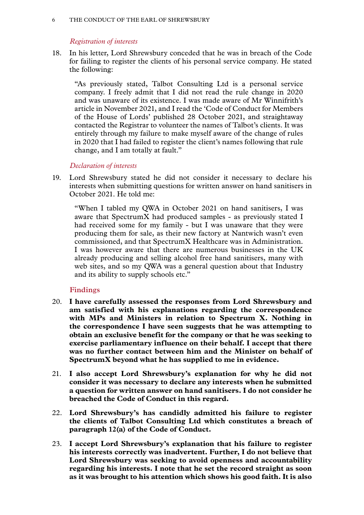#### <span id="page-7-0"></span>6 THE CONDUCT OF THE EARL OF SHREWSBURY

#### *Registration of interests*

18. In his letter, Lord Shrewsbury conceded that he was in breach of the Code for failing to register the clients of his personal service company. He stated the following:

"As previously stated, Talbot Consulting Ltd is a personal service company. I freely admit that I did not read the rule change in 2020 and was unaware of its existence. I was made aware of Mr Winnifrith's article in November 2021, and I read the 'Code of Conduct for Members of the House of Lords' published 28 October 2021, and straightaway contacted the Registrar to volunteer the names of Talbot's clients. It was entirely through my failure to make myself aware of the change of rules in 2020 that I had failed to register the client's names following that rule change, and I am totally at fault."

#### *Declaration of interests*

19. Lord Shrewsbury stated he did not consider it necessary to declare his interests when submitting questions for written answer on hand sanitisers in October 2021. He told me:

"When I tabled my QWA in October 2021 on hand sanitisers, I was aware that SpectrumX had produced samples - as previously stated I had received some for my family - but I was unaware that they were producing them for sale, as their new factory at Nantwich wasn't even commissioned, and that SpectrumX Healthcare was in Administration. I was however aware that there are numerous businesses in the UK already producing and selling alcohol free hand sanitisers, many with web sites, and so my QWA was a general question about that Industry and its ability to supply schools etc."

#### **Findings**

- 20. **I have carefully assessed the responses from Lord Shrewsbury and am satisfied with his explanations regarding the correspondence with MPs and Ministers in relation to Spectrum X. Nothing in the correspondence I have seen suggests that he was attempting to obtain an exclusive benefit for the company or that he was seeking to exercise parliamentary influence on their behalf. I accept that there was no further contact between him and the Minister on behalf of SpectrumX beyond what he has supplied to me in evidence.**
- 21. **I also accept Lord Shrewsbury's explanation for why he did not consider it was necessary to declare any interests when he submitted a question for written answer on hand sanitisers. I do not consider he breached the Code of Conduct in this regard.**
- 22. **Lord Shrewsbury's has candidly admitted his failure to register the clients of Talbot Consulting Ltd which constitutes a breach of paragraph 12(a) of the Code of Conduct.**
- 23. **I accept Lord Shrewsbury's explanation that his failure to register his interests correctly was inadvertent. Further, I do not believe that Lord Shrewsbury was seeking to avoid openness and accountability regarding his interests. I note that he set the record straight as soon as it was brought to his attention which shows his good faith. It is also**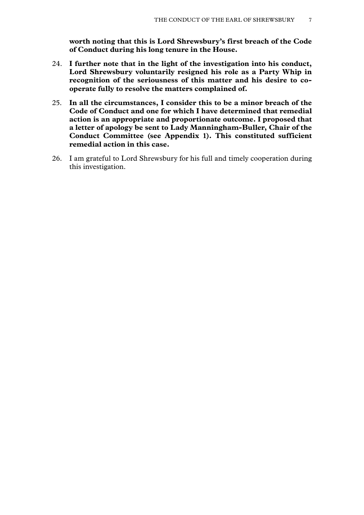**worth noting that this is Lord Shrewsbury's first breach of the Code of Conduct during his long tenure in the House.**

- 24. **I further note that in the light of the investigation into his conduct, Lord Shrewsbury voluntarily resigned his role as a Party Whip in recognition of the seriousness of this matter and his desire to cooperate fully to resolve the matters complained of.**
- 25. **In all the circumstances, I consider this to be a minor breach of the Code of Conduct and one for which I have determined that remedial action is an appropriate and proportionate outcome. I proposed that a letter of apology be sent to Lady Manningham-Buller, Chair of the Conduct Committee (see Appendix 1). This constituted sufficient remedial action in this case.**
- 26. I am grateful to Lord Shrewsbury for his full and timely cooperation during this investigation.